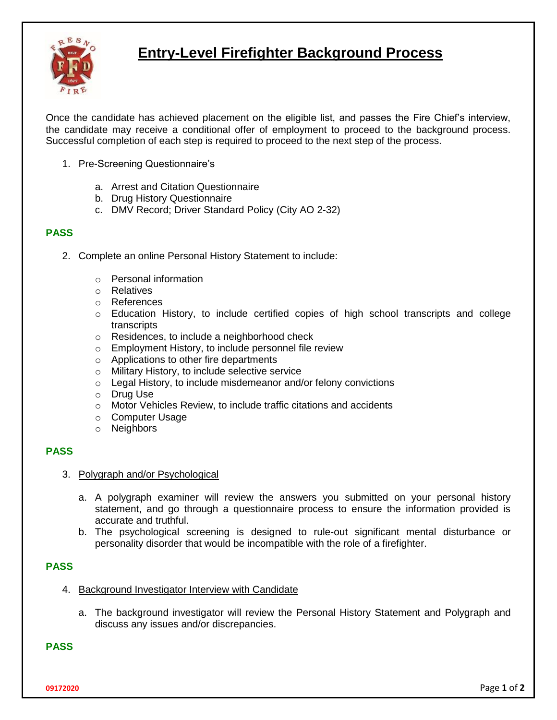

# **Entry-Level Firefighter Background Process**

Once the candidate has achieved placement on the eligible list, and passes the Fire Chief's interview, the candidate may receive a conditional offer of employment to proceed to the background process. Successful completion of each step is required to proceed to the next step of the process.

- 1. Pre-Screening Questionnaire's
	- a. Arrest and Citation Questionnaire
	- b. Drug History Questionnaire
	- c. DMV Record; Driver Standard Policy (City AO 2-32)

#### **PASS**

- 2. Complete an online Personal History Statement to include:
	- o Personal information
	- o Relatives
	- o References
	- $\circ$  Education History, to include certified copies of high school transcripts and college transcripts
	- o Residences, to include a neighborhood check
	- o Employment History, to include personnel file review
	- o Applications to other fire departments
	- o Military History, to include selective service
	- o Legal History, to include misdemeanor and/or felony convictions
	- o Drug Use
	- o Motor Vehicles Review, to include traffic citations and accidents
	- o Computer Usage
	- o Neighbors

## **PASS**

- 3. Polygraph and/or Psychological
	- a. A polygraph examiner will review the answers you submitted on your personal history statement, and go through a questionnaire process to ensure the information provided is accurate and truthful.
	- b. The psychological screening is designed to rule-out significant mental disturbance or personality disorder that would be incompatible with the role of a firefighter.

## **PASS**

- 4. Background Investigator Interview with Candidate
	- a. The background investigator will review the Personal History Statement and Polygraph and discuss any issues and/or discrepancies.

**PASS**